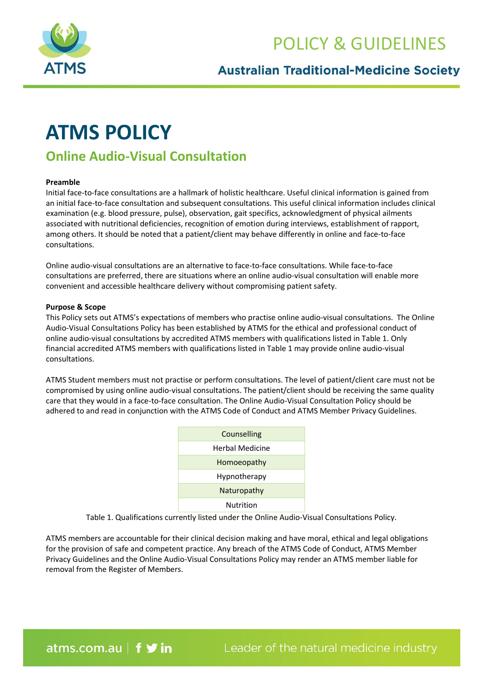

## POLICY & GUIDELINES

### **Australian Traditional-Medicine Society**

# **ATMS POLICY**

## **Online Audio-Visual Consultation**

#### **Preamble**

Initial face-to-face consultations are a hallmark of holistic healthcare. Useful clinical information is gained from an initial face-to-face consultation and subsequent consultations. This useful clinical information includes clinical examination (e.g. blood pressure, pulse), observation, gait specifics, acknowledgment of physical ailments associated with nutritional deficiencies, recognition of emotion during interviews, establishment of rapport, among others. It should be noted that a patient/client may behave differently in online and face-to-face consultations.

Online audio-visual consultations are an alternative to face-to-face consultations. While face-to-face consultations are preferred, there are situations where an online audio-visual consultation will enable more convenient and accessible healthcare delivery without compromising patient safety.

#### **Purpose & Scope**

This Policy sets out ATMS's expectations of members who practise online audio-visual consultations. The Online Audio-Visual Consultations Policy has been established by ATMS for the ethical and professional conduct of online audio-visual consultations by accredited ATMS members with qualifications listed in Table 1. Only financial accredited ATMS members with qualifications listed in Table 1 may provide online audio-visual consultations.

ATMS Student members must not practise or perform consultations. The level of patient/client care must not be compromised by using online audio-visual consultations. The patient/client should be receiving the same quality care that they would in a face-to-face consultation. The Online Audio-Visual Consultation Policy should be adhered to and read in conjunction with the ATMS Code of Conduct and ATMS Member Privacy Guidelines.

| Counselling            |
|------------------------|
| <b>Herbal Medicine</b> |
| Homoeopathy            |
| Hypnotherapy           |
| Naturopathy            |
| Nutrition              |

Table 1. Qualifications currently listed under the Online Audio-Visual Consultations Policy.

ATMS members are accountable for their clinical decision making and have moral, ethical and legal obligations for the provision of safe and competent practice. Any breach of the ATMS Code of Conduct, ATMS Member Privacy Guidelines and the Online Audio-Visual Consultations Policy may render an ATMS member liable for removal from the Register of Members.

atms.com.au | f **y** in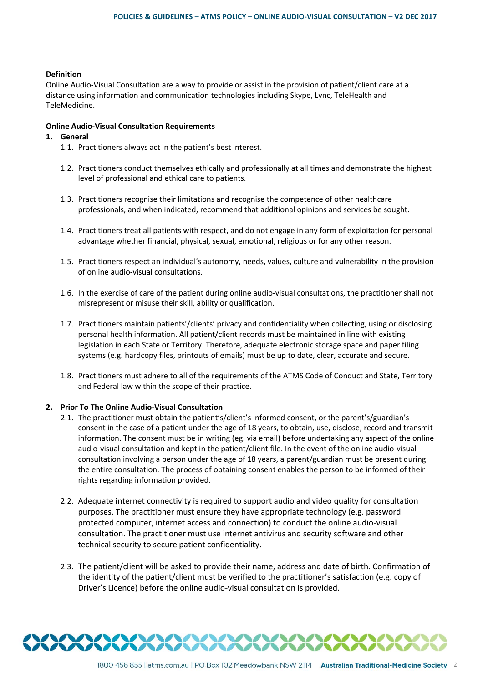#### **Definition**

Online Audio-Visual Consultation are a way to provide or assist in the provision of patient/client care at a distance using information and communication technologies including Skype, Lync, TeleHealth and TeleMedicine.

#### **Online Audio-Visual Consultation Requirements**

#### **1. General**

- 1.1. Practitioners always act in the patient's best interest.
- 1.2. Practitioners conduct themselves ethically and professionally at all times and demonstrate the highest level of professional and ethical care to patients.
- 1.3. Practitioners recognise their limitations and recognise the competence of other healthcare professionals, and when indicated, recommend that additional opinions and services be sought.
- 1.4. Practitioners treat all patients with respect, and do not engage in any form of exploitation for personal advantage whether financial, physical, sexual, emotional, religious or for any other reason.
- 1.5. Practitioners respect an individual's autonomy, needs, values, culture and vulnerability in the provision of online audio-visual consultations.
- 1.6. In the exercise of care of the patient during online audio-visual consultations, the practitioner shall not misrepresent or misuse their skill, ability or qualification.
- 1.7. Practitioners maintain patients'/clients' privacy and confidentiality when collecting, using or disclosing personal health information. All patient/client records must be maintained in line with existing legislation in each State or Territory. Therefore, adequate electronic storage space and paper filing systems (e.g. hardcopy files, printouts of emails) must be up to date, clear, accurate and secure.
- 1.8. Practitioners must adhere to all of the requirements of the ATMS Code of Conduct and State, Territory and Federal law within the scope of their practice.

#### **2. Prior To The Online Audio-Visual Consultation**

- 2.1. The practitioner must obtain the patient's/client's informed consent, or the parent's/guardian's consent in the case of a patient under the age of 18 years, to obtain, use, disclose, record and transmit information. The consent must be in writing (eg. via email) before undertaking any aspect of the online audio-visual consultation and kept in the patient/client file. In the event of the online audio-visual consultation involving a person under the age of 18 years, a parent/guardian must be present during the entire consultation. The process of obtaining consent enables the person to be informed of their rights regarding information provided.
- 2.2. Adequate internet connectivity is required to support audio and video quality for consultation purposes. The practitioner must ensure they have appropriate technology (e.g. password protected computer, internet access and connection) to conduct the online audio-visual consultation. The practitioner must use internet antivirus and security software and other technical security to secure patient confidentiality.
- 2.3. The patient/client will be asked to provide their name, address and date of birth. Confirmation of the identity of the patient/client must be verified to the practitioner's satisfaction (e.g. copy of Driver's Licence) before the online audio-visual consultation is provided.

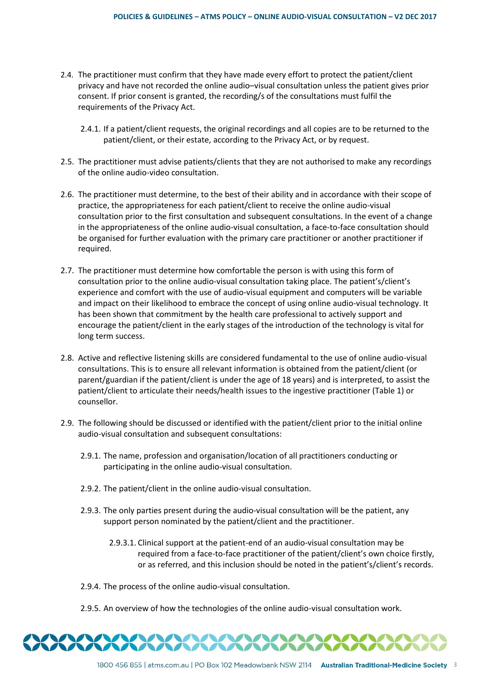- 2.4. The practitioner must confirm that they have made every effort to protect the patient/client privacy and have not recorded the online audio–visual consultation unless the patient gives prior consent. If prior consent is granted, the recording/s of the consultations must fulfil the requirements of the Privacy Act.
	- 2.4.1. If a patient/client requests, the original recordings and all copies are to be returned to the patient/client, or their estate, according to the Privacy Act, or by request.
- 2.5. The practitioner must advise patients/clients that they are not authorised to make any recordings of the online audio-video consultation.
- 2.6. The practitioner must determine, to the best of their ability and in accordance with their scope of practice, the appropriateness for each patient/client to receive the online audio-visual consultation prior to the first consultation and subsequent consultations. In the event of a change in the appropriateness of the online audio-visual consultation, a face-to-face consultation should be organised for further evaluation with the primary care practitioner or another practitioner if required.
- 2.7. The practitioner must determine how comfortable the person is with using this form of consultation prior to the online audio-visual consultation taking place. The patient's/client's experience and comfort with the use of audio-visual equipment and computers will be variable and impact on their likelihood to embrace the concept of using online audio-visual technology. It has been shown that commitment by the health care professional to actively support and encourage the patient/client in the early stages of the introduction of the technology is vital for long term success.
- 2.8. Active and reflective listening skills are considered fundamental to the use of online audio-visual consultations. This is to ensure all relevant information is obtained from the patient/client (or parent/guardian if the patient/client is under the age of 18 years) and is interpreted, to assist the patient/client to articulate their needs/health issues to the ingestive practitioner (Table 1) or counsellor.
- 2.9. The following should be discussed or identified with the patient/client prior to the initial online audio-visual consultation and subsequent consultations:
	- 2.9.1. The name, profession and organisation/location of all practitioners conducting or participating in the online audio-visual consultation.
	- 2.9.2. The patient/client in the online audio-visual consultation.
	- 2.9.3. The only parties present during the audio-visual consultation will be the patient, any support person nominated by the patient/client and the practitioner.
		- 2.9.3.1. Clinical support at the patient-end of an audio-visual consultation may be required from a face-to-face practitioner of the patient/client's own choice firstly, or as referred, and this inclusion should be noted in the patient's/client's records.
	- 2.9.4. The process of the online audio-visual consultation.
	- 2.9.5. An overview of how the technologies of the online audio-visual consultation work.

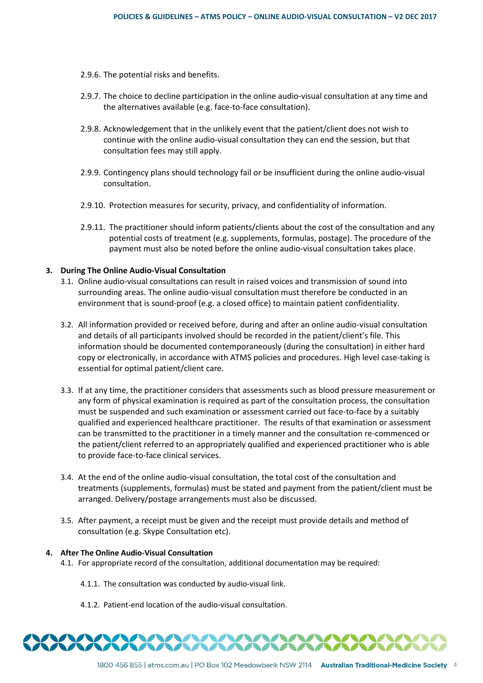- 2.9.6. The potential risks and benefits.
- 2.9.7. The choice to decline participation in the online audio-visual consultation at any time and the alternatives available (e.g. face-to-face consultation).
- 2.9.8. Acknowledgement that in the unlikely event that the patient/client does not wish to continue with the online audio-visual consultation they can end the session, but that consultation fees may still apply.
- 2.9.9. Contingency plans should technology fail or be insufficient during the online audio-visual consultation.
- 2.9.10. Protection measures for security, privacy, and confidentiality of information.
- 2.9.11. The practitioner should inform patients/clients about the cost of the consultation and any potential costs of treatment (e.g. supplements, formulas, postage). The procedure of the payment must also be noted before the online audio-visual consultation takes place.

#### **3. During The Online Audio-Visual Consultation**

- 3.1. Online audio-visual consultations can result in raised voices and transmission of sound into surrounding areas. The online audio-visual consultation must therefore be conducted in an environment that is sound-proof (e.g. a closed office) to maintain patient confidentiality.
- 3.2. All information provided or received before, during and after an online audio-visual consultation and details of all participants involved should be recorded in the patient/client's file. This information should be documented contemporaneously (during the consultation) in either hard copy or electronically, in accordance with ATMS policies and procedures. High level case-taking is essential for optimal patient/client care.
- 3.3. If at any time, the practitioner considers that assessments such as blood pressure measurement or any form of physical examination is required as part of the consultation process, the consultation must be suspended and such examination or assessment carried out face-to-face by a suitably qualified and experienced healthcare practitioner. The results of that examination or assessment can be transmitted to the practitioner in a timely manner and the consultation re-commenced or the patient/client referred to an appropriately qualified and experienced practitioner who is able to provide face-to-face clinical services.
- 3.4. At the end of the online audio-visual consultation, the total cost of the consultation and treatments (supplements, formulas) must be stated and payment from the patient/client must be arranged. Delivery/postage arrangements must also be discussed.
- 3.5. After payment, a receipt must be given and the receipt must provide details and method of consultation (e.g. Skype Consultation etc).

#### **4. After The Online Audio-Visual Consultation**

- 4.1. For appropriate record of the consultation, additional documentation may be required:
	- 4.1.1. The consultation was conducted by audio-visual link.
	- 4.1.2. Patient-end location of the audio-visual consultation.

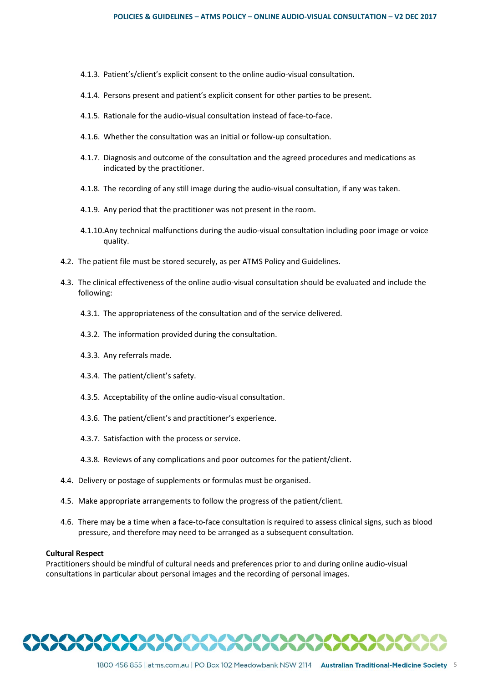- 4.1.3. Patient's/client's explicit consent to the online audio-visual consultation.
- 4.1.4. Persons present and patient's explicit consent for other parties to be present.
- 4.1.5. Rationale for the audio-visual consultation instead of face-to-face.
- 4.1.6. Whether the consultation was an initial or follow-up consultation.
- 4.1.7. Diagnosis and outcome of the consultation and the agreed procedures and medications as indicated by the practitioner.
- 4.1.8. The recording of any still image during the audio-visual consultation, if any was taken.
- 4.1.9. Any period that the practitioner was not present in the room.
- 4.1.10.Any technical malfunctions during the audio-visual consultation including poor image or voice quality.
- 4.2. The patient file must be stored securely, as per ATMS Policy and Guidelines.
- 4.3. The clinical effectiveness of the online audio-visual consultation should be evaluated and include the following:
	- 4.3.1. The appropriateness of the consultation and of the service delivered.
	- 4.3.2. The information provided during the consultation.
	- 4.3.3. Any referrals made.
	- 4.3.4. The patient/client's safety.
	- 4.3.5. Acceptability of the online audio-visual consultation.
	- 4.3.6. The patient/client's and practitioner's experience.
	- 4.3.7. Satisfaction with the process or service.
	- 4.3.8. Reviews of any complications and poor outcomes for the patient/client.
- 4.4. Delivery or postage of supplements or formulas must be organised.
- 4.5. Make appropriate arrangements to follow the progress of the patient/client.
- 4.6. There may be a time when a face-to-face consultation is required to assess clinical signs, such as blood pressure, and therefore may need to be arranged as a subsequent consultation.

#### **Cultural Respect**

Practitioners should be mindful of cultural needs and preferences prior to and during online audio-visual consultations in particular about personal images and the recording of personal images.